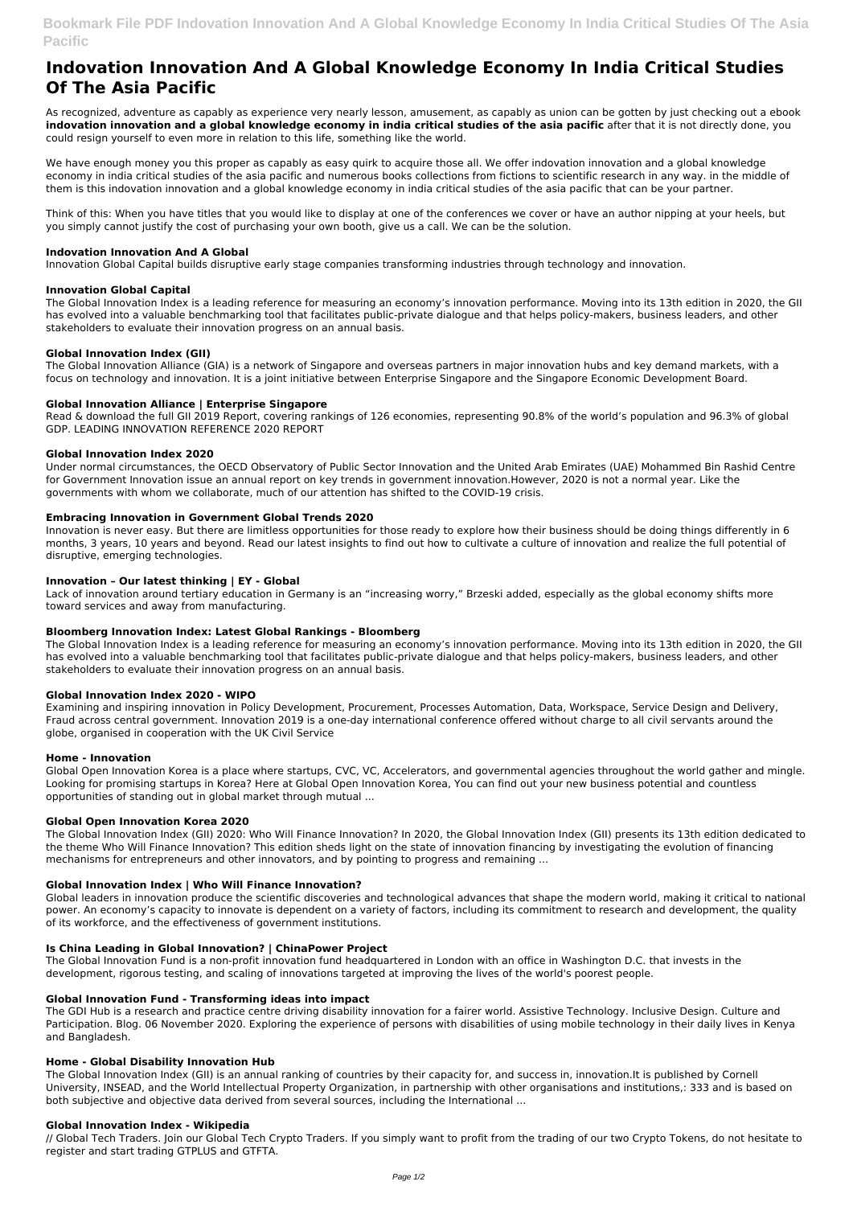# **Indovation Innovation And A Global Knowledge Economy In India Critical Studies Of The Asia Pacific**

As recognized, adventure as capably as experience very nearly lesson, amusement, as capably as union can be gotten by just checking out a ebook **indovation innovation and a global knowledge economy in india critical studies of the asia pacific** after that it is not directly done, you could resign yourself to even more in relation to this life, something like the world.

We have enough money you this proper as capably as easy quirk to acquire those all. We offer indovation innovation and a global knowledge economy in india critical studies of the asia pacific and numerous books collections from fictions to scientific research in any way. in the middle of them is this indovation innovation and a global knowledge economy in india critical studies of the asia pacific that can be your partner.

Think of this: When you have titles that you would like to display at one of the conferences we cover or have an author nipping at your heels, but you simply cannot justify the cost of purchasing your own booth, give us a call. We can be the solution.

## **Indovation Innovation And A Global**

Innovation Global Capital builds disruptive early stage companies transforming industries through technology and innovation.

# **Innovation Global Capital**

The Global Innovation Index is a leading reference for measuring an economy's innovation performance. Moving into its 13th edition in 2020, the GII has evolved into a valuable benchmarking tool that facilitates public-private dialogue and that helps policy-makers, business leaders, and other stakeholders to evaluate their innovation progress on an annual basis.

## **Global Innovation Index (GII)**

The Global Innovation Alliance (GIA) is a network of Singapore and overseas partners in major innovation hubs and key demand markets, with a focus on technology and innovation. It is a joint initiative between Enterprise Singapore and the Singapore Economic Development Board.

## **Global Innovation Alliance | Enterprise Singapore**

Read & download the full GII 2019 Report, covering rankings of 126 economies, representing 90.8% of the world's population and 96.3% of global GDP. LEADING INNOVATION REFERENCE 2020 REPORT

#### **Global Innovation Index 2020**

Under normal circumstances, the OECD Observatory of Public Sector Innovation and the United Arab Emirates (UAE) Mohammed Bin Rashid Centre for Government Innovation issue an annual report on key trends in government innovation.However, 2020 is not a normal year. Like the governments with whom we collaborate, much of our attention has shifted to the COVID-19 crisis.

# **Embracing Innovation in Government Global Trends 2020**

Innovation is never easy. But there are limitless opportunities for those ready to explore how their business should be doing things differently in 6 months, 3 years, 10 years and beyond. Read our latest insights to find out how to cultivate a culture of innovation and realize the full potential of disruptive, emerging technologies.

The Global Innovation Index (GII) is an annual ranking of countries by their capacity for, and success in, innovation.It is published by Cornell University, INSEAD, and the World Intellectual Property Organization, in partnership with other organisations and institutions,: 333 and is based on both subjective and objective data derived from several sources, including the International ...

# **Innovation – Our latest thinking | EY - Global**

Lack of innovation around tertiary education in Germany is an "increasing worry," Brzeski added, especially as the global economy shifts more toward services and away from manufacturing.

# **Bloomberg Innovation Index: Latest Global Rankings - Bloomberg**

The Global Innovation Index is a leading reference for measuring an economy's innovation performance. Moving into its 13th edition in 2020, the GII has evolved into a valuable benchmarking tool that facilitates public-private dialogue and that helps policy-makers, business leaders, and other stakeholders to evaluate their innovation progress on an annual basis.

#### **Global Innovation Index 2020 - WIPO**

Examining and inspiring innovation in Policy Development, Procurement, Processes Automation, Data, Workspace, Service Design and Delivery, Fraud across central government. Innovation 2019 is a one-day international conference offered without charge to all civil servants around the globe, organised in cooperation with the UK Civil Service

#### **Home - Innovation**

Global Open Innovation Korea is a place where startups, CVC, VC, Accelerators, and governmental agencies throughout the world gather and mingle. Looking for promising startups in Korea? Here at Global Open Innovation Korea, You can find out your new business potential and countless opportunities of standing out in global market through mutual ...

#### **Global Open Innovation Korea 2020**

The Global Innovation Index (GII) 2020: Who Will Finance Innovation? In 2020, the Global Innovation Index (GII) presents its 13th edition dedicated to the theme Who Will Finance Innovation? This edition sheds light on the state of innovation financing by investigating the evolution of financing mechanisms for entrepreneurs and other innovators, and by pointing to progress and remaining ...

# **Global Innovation Index | Who Will Finance Innovation?**

Global leaders in innovation produce the scientific discoveries and technological advances that shape the modern world, making it critical to national power. An economy's capacity to innovate is dependent on a variety of factors, including its commitment to research and development, the quality of its workforce, and the effectiveness of government institutions.

#### **Is China Leading in Global Innovation? | ChinaPower Project**

The Global Innovation Fund is a non-profit innovation fund headquartered in London with an office in Washington D.C. that invests in the development, rigorous testing, and scaling of innovations targeted at improving the lives of the world's poorest people.

#### **Global Innovation Fund - Transforming ideas into impact**

The GDI Hub is a research and practice centre driving disability innovation for a fairer world. Assistive Technology. Inclusive Design. Culture and Participation. Blog. 06 November 2020. Exploring the experience of persons with disabilities of using mobile technology in their daily lives in Kenya and Bangladesh.

#### **Home - Global Disability Innovation Hub**

#### **Global Innovation Index - Wikipedia**

// Global Tech Traders. Join our Global Tech Crypto Traders. If you simply want to profit from the trading of our two Crypto Tokens, do not hesitate to register and start trading GTPLUS and GTFTA.